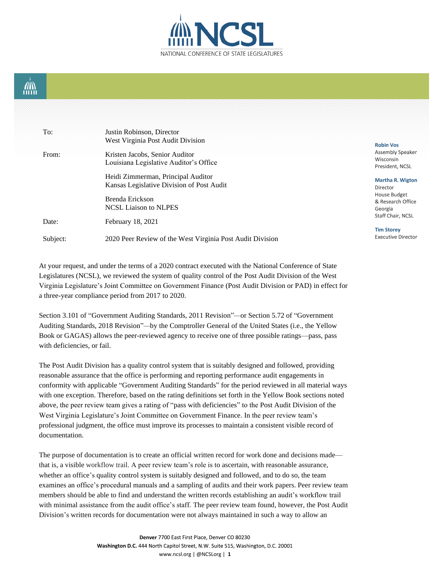

## AN)<br>TITLI

| To:      | Justin Robinson, Director<br>West Virginia Post Audit Division                  | <b>Robin Vos</b>                                                  |
|----------|---------------------------------------------------------------------------------|-------------------------------------------------------------------|
| From:    | Kristen Jacobs, Senior Auditor<br>Louisiana Legislative Auditor's Office        | <b>Assembly Speaker</b><br>Wisconsin<br>President, NCSL           |
|          | Heidi Zimmerman, Principal Auditor<br>Kansas Legislative Division of Post Audit | <b>Martha R. Wigton</b><br>Director                               |
| Date:    | Brenda Erickson<br><b>NCSL Liaison to NLPES</b><br>February 18, 2021            | House Budget<br>& Research Office<br>Georgia<br>Staff Chair, NCSL |
| Subject: | 2020 Peer Review of the West Virginia Post Audit Division                       | <b>Tim Storey</b><br><b>Executive Director</b>                    |

At your request, and under the terms of a 2020 contract executed with the National Conference of State Legislatures (NCSL), we reviewed the system of quality control of the Post Audit Division of the West Virginia Legislature's Joint Committee on Government Finance (Post Audit Division or PAD) in effect for a three-year compliance period from 2017 to 2020.

Section 3.101 of "Government Auditing Standards, 2011 Revision"*—*or Section 5.72 of "Government Auditing Standards, 2018 Revision"*—*by the Comptroller General of the United States (i.e., the Yellow Book or GAGAS) allows the peer-reviewed agency to receive one of three possible ratings—pass, pass with deficiencies, or fail.

The Post Audit Division has a quality control system that is suitably designed and followed, providing reasonable assurance that the office is performing and reporting performance audit engagements in conformity with applicable "Government Auditing Standards" for the period reviewed in all material ways with one exception. Therefore, based on the rating definitions set forth in the Yellow Book sections noted above, the peer review team gives a rating of "pass with deficiencies" to the Post Audit Division of the West Virginia Legislature's Joint Committee on Government Finance. In the peer review team's professional judgment, the office must improve its processes to maintain a consistent visible record of documentation.

The purpose of documentation is to create an official written record for work done and decisions made that is, a visible workflow trail. A peer review team's role is to ascertain, with reasonable assurance, whether an office's quality control system is suitably designed and followed, and to do so, the team examines an office's procedural manuals and a sampling of audits and their work papers. Peer review team members should be able to find and understand the written records establishing an audit's workflow trail with minimal assistance from the audit office's staff. The peer review team found, however, the Post Audit Division's written records for documentation were not always maintained in such a way to allow an